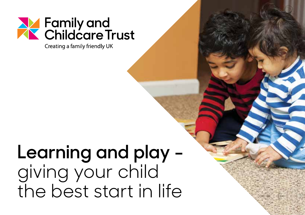

Creating a family friendly UK

## **Learning and play**  giving your child the best start in life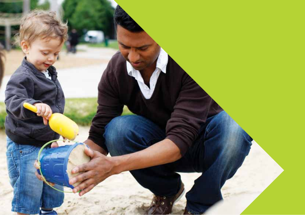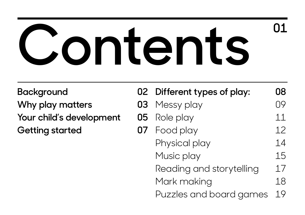## **Contents 01**

**Background 02 Why play matters 03** Your child's development **C Getting started 07**

| 2 Different types of play: | 08  |
|----------------------------|-----|
| 3 Messy play               | 09  |
| 5 Role play                | 11  |
| 7 Food play                | 12  |
| Physical play              | 14  |
| Music play                 | 15  |
| Reading and storytelling   | 17  |
| Mark making                | 18  |
| Puzzles and board games    | 1 Q |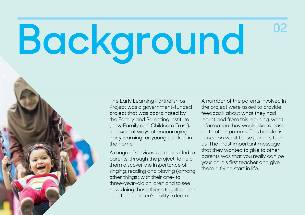# **Background <sup>02</sup>**

The Early Learning Partnerships Project was a government-funded project that was coordinated by the Family and Parenting Institute (now Family and Childcare Trust). It looked at ways of encouraging early learning for young children in the home.

A range of services were provided to parents, through the project, to help them discover the importance of singing, reading and playing (among other things) with their one- to three-year-old children and to see how doing these things together can help their children's ability to learn.

A number of the parents involved in the project were asked to provide feedback about what they had learnt and from this learning, what information they would like to pass on to other parents. This booklet is based on what those parents told us. The most important message that they wanted to give to other parents was that you really can be your child's first teacher and give them a flying start in life.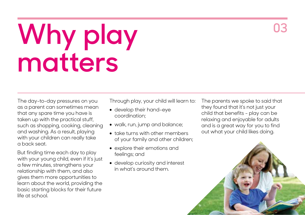## **Why play matters**

The day-to-day pressures on you as a parent can sometimes mean that any spare time you have is taken up with the practical stuff, such as shopping, cooking, cleaning and washing. As a result, playing with your children can really take a back seat.

But finding time each day to play with your young child, even if it's just a few minutes, strengthens your relationship with them, and also gives them more opportunities to learn about the world, providing the basic starting blocks for their future life at school.

Through play, your child will learn to:

- ⚫ develop their hand–eye coordination;
- ⚫ walk, run, jump and balance;
- ⚫ take turns with other members of your family and other children;
- ⚫ explore their emotions and feelings; and
- ⚫ develop curiosity and interest in what's around them.

The parents we spoke to said that they found that it's not just your child that benefits - play can be relaxing and enjoyable for adults and is a great way for you to find out what your child likes doing.

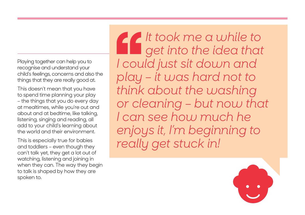Playing together can help you to recognise and understand your child's feelings, concerns and also the things that they are really good at.

This doesn't mean that you have to spend time planning your play – the things that you do every day at mealtimes, while you're out and about and at bedtime, like talking, listening, singing and reading, all add to your child's learning about the world and their environment.

This is especially true for babies and toddlers – even though they can't talk yet, they get a lot out of watching, listening and joining in when they can. The way they begin to talk is shaped by how they are spoken to.

*It took me a while to get into the idea that I could just sit down and play – it was hard not to think about the washing or cleaning – but now that I can see how much he enjoys it, I'm beginning to really get stuck in!*

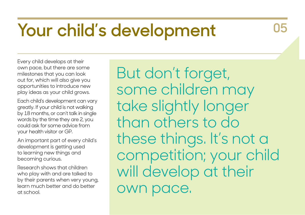## **Your child's development 05**

Every child develops at their own pace, but there are some milestones that you can look out for, which will also give you opportunities to introduce new play ideas as your child grows.

Each child's development can vary greatly. If your child is not walking by 18 months, or can't talk in single words by the time they are 2, you could ask for some advice from your health visitor or GP.

An important part of every child's development is getting used to learning new things and becoming curious.

Research shows that children who play with and are talked to by their parents when very young, learn much better and do better at school.

But don't forget, some children may take slightly longer than others to do these things. It's not a competition; your child will develop at their own pace.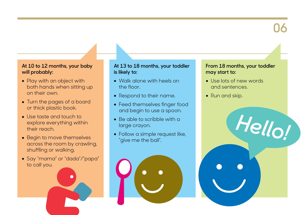## **06**

#### **At 10 to 12 months, your baby will probably:**

- ⚫ Play with an object with both hands when sitting up on their own.
- ⚫ Turn the pages of a board or thick plastic book.
- ⚫ Use taste and touch to explore everything within their reach.
- Begin to move themselves across the room by crawling, shuffling or walking.
- ⚫ Say "mama" or "dada"/"papa" to call you.

#### **At 13 to 18 months, your toddler is likely to:**

- ⚫ Walk alone with heels on the floor.
- ⚫ Respond to their name.
- ⚫ Feed themselves finger food and begin to use a spoon.
- ⚫ Be able to scribble with a large crayon.
- ⚫ Follow a simple request like, "give me the ball".

#### **From 18 months, your toddler may start to:**

*Hello!*

- ⚫ Use lots of new words and sentences.
- ⚫ Run and skip.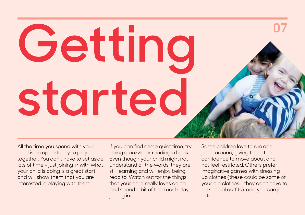# **Getting started 07**

All the time you spend with your child is an opportunity to play together. You don't have to set aside lots of time - just joining in with what your child is doing is a great start and will show them that you are interested in playing with them.

If you can find some quiet time, try doing a puzzle or reading a book. Even though your child might not understand all the words, they are still learning and will enjoy being read to. Watch out for the things that your child really loves doing and spend a bit of time each day joining in.

Some children love to run and jump around, giving them the confidence to move about and not feel restricted. Others prefer imaginative games with dressing up clothes (these could be some of your old clothes – they don't have to be special outfits), and you can join in too.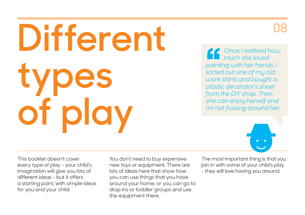## **Different types of play**

*Once I realised how much she loved painting with her hands, I sorted out one of my old work shirts and bought a*  **08**

*plastic decorator's sheet from the DIY shop. Then she can enjoy herself and I'm not fussing around her.*

This booklet doesn't cover every type of play - your child's imagination will give you lots of different ideas - but it offers a starting point, with simple ideas for you and your child.

You don't need to buy expensive new toys or equipment. There are lots of ideas here that show how you can use things that you have around your home, or you can go to drop ins or toddler groups and use the equipment there.

The most important thing is that you join in with some of your child's play - they will love having you around.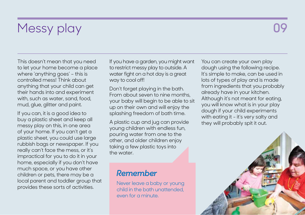## Messy play

## **09**

This doesn't mean that you need to let your home become a place where 'anything goes' – this is controlled mess! Think about anything that your child can get their hands into and experiment with, such as water, sand, food, mud, glue, glitter and paint.

If you can, it is a good idea to buy a plastic sheet and keep all messy play on this, in one area of your home. If you can't get a plastic sheet, you could use large rubbish bags or newspaper. If you really can't face the mess, or it's impractical for you to do it in your home, especially if you don't have much space, or you have other children or pets, there may be a local parent and toddler group that provides these sorts of activities.

If you have a garden, you might want to restrict messy play to outside. A water fight on a hot day is a great way to cool off!

Don't forget playing in the bath. From about seven to nine months, your baby will begin to be able to sit up on their own and will enjoy the splashing freedom of bath time.

A plastic cup and jug can provide young children with endless fun, pouring water from one to the other, and older children enjoy taking a few plastic toys into the water.

#### *Remember*

Never leave a baby or young child in the bath unattended, even for a minute.

You can create your own play dough using the following recipe. It's simple to make, can be used in lots of types of play and is made from ingredients that you probably already have in your kitchen. Although it's not meant for eating, you will know what is in your play dough if your child experiments with eating it - it's very salty and they will probably spit it out.

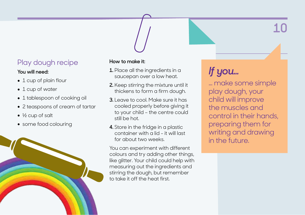#### Play dough recipe

#### **You will need:**

- ⚫ 1 cup of plain flour
- 1 cup of water
- 1 tablespoon of cooking oil
- ⚫ 2 teaspoons of cream of tartar
- $\bullet$  ½ cup of salt
- ⚫ some food colouring



#### **How to make it:**

- **1.** Place all the ingredients in a saucepan over a low heat.
- **2.** Keep stirring the mixture until it thickens to form a firm dough.
- **3.** Leave to cool. Make sure it has cooled properly before giving it to your child – the centre could still be hot.
- **4.** Store in the fridge in a plastic container with a lid - it will last for about two weeks.

You can experiment with different colours and try adding other things, like glitter. Your child could help with measuring out the ingredients and stirring the dough, but remember to take it off the heat first.

## *If you…*

... make some simple play dough, your child will improve the muscles and control in their hands, preparing them for writing and drawing in the future.

**10**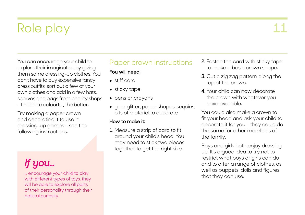## Role play **11**

You can encourage your child to explore their imagination by giving them some dressing-up clothes. You don't have to buy expensive fancy dress outfits: sort out a few of your own clothes and add in a few hats, scarves and bags from charity shops - the more colourful, the better.

Try making a paper crown and decorating it to use in dressing-up games - see the following instructions.

### *If you…*

... encourage your child to play with different types of toys, they will be able to explore all parts of their personality through their natural curiosity.

#### Paper crown instructions

#### **You will need:**

- ⚫ stiff card
- sticky tape
- ⚫ pens or crayons
- ⚫ glue, glitter, paper shapes, sequins, bits of material to decorate

#### **How to make it:**

**1.** Measure a strip of card to fit around your child's head. You may need to stick two pieces together to get the right size.

- **2.** Fasten the card with sticky tape to make a basic crown shape.
- **3.** Cut a zig zag pattern along the top of the crown.
- **4.** Your child can now decorate the crown with whatever you have available.

You could also make a crown to fit your head and ask your child to decorate it for you – they could do the same for other members of the family.

Boys and girls both enjoy dressing up. It's a good idea to try not to restrict what boys or girls can do and to offer a range of clothes, as well as puppets, dolls and figures that they can use.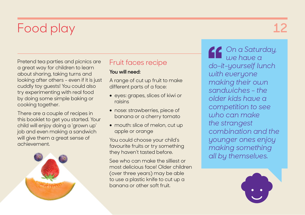## Food play **12**

Pretend tea parties and picnics are a great way for children to learn about sharing, taking turns and looking after others - even if it is just cuddly toy guests! You could also try experimenting with real food by doing some simple baking or cooking together.

There are a couple of recipes in this booklet to get you started. Your child will enjoy doing a 'grown up' job and even making a sandwich will give them a great sense of achievement.



#### Fruit faces recipe

#### **You will need:**

A range of cut up fruit to make different parts of a face:

- ⚫ eyes: grapes, slices of kiwi or raisins
- ⚫ nose: strawberries, piece of banana or a cherry tomato
- ⚫ mouth: slice of melon, cut up apple or orange

You could choose your child's favourite fruits or try something they haven't tasted before.

See who can make the silliest or most delicious face! Older children (over three years) may be able to use a plastic knife to cut up a banana or other soft fruit.

*On a Saturday, we have a do-it-yourself lunch with everyone making their own sandwiches - the older kids have a competition to see who can make the strangest combination and the younger ones enjoy making something all by themselves.*

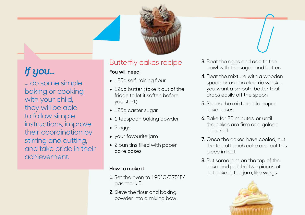

## *If you…*

... do some simple baking or cooking with your child, they will be able to follow simple instructions, improve their coordination by stirring and cutting, and take pride in their achievement.

#### Butterfly cakes recipe

#### **You will need:**

- 125g self-raising flour
- 125g butter (take it out of the fridge to let it soften before you start)
- ⚫ 125g caster sugar
- 1 teaspoon baking powder
- ⚫ 2 eggs
- ⚫ your favourite jam
- ⚫ 2 bun tins filled with paper cake cases

#### **How to make it**

- **1.** Set the oven to 190°C/375°F/ gas mark 5.
- **2.** Sieve the flour and baking powder into a mixing bowl.
- **3.** Beat the eggs and add to the bowl with the sugar and butter.
- **4.** Beat the mixture with a wooden spoon or use an electric whisk – you want a smooth batter that drops easily off the spoon.
- **5.** Spoon the mixture into paper cake cases.
- **6.** Bake for 20 minutes, or until the cakes are firm and golden coloured.
- **7.** Once the cakes have cooled, cut the top off each cake and cut this piece in half.
- **8.** Put some jam on the top of the cake and put the two pieces of cut cake in the jam, like wings.

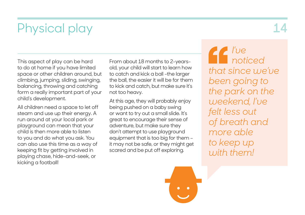## Physical play

## **14**

This aspect of play can be hard to do at home if you have limited space or other children around, but climbing, jumping, sliding, swinging, balancing, throwing and catching form a really important part of your child's development.

All children need a space to let off steam and use up their energy. A run around at your local park or playground can mean that your child is then more able to listen to you and do what you ask. You can also use this time as a way of keeping fit by getting involved in playing chase, hide-and-seek, or kicking a football!

From about 18 months to 2-yearsold, your child will start to learn how to catch and kick a ball -the larger the ball, the easier it will be for them to kick and catch, but make sure it's not too heavy.

At this age, they will probably enjoy being pushed on a baby swing or want to try out a small slide. It's great to encourage their sense of adventure, but make sure they don't attempt to use playground equipment that is too big for them – it may not be safe, or they might get scared and be put off exploring.

*I've noticed that since we've been going to the park on the weekend, I've felt less out of breath and more able to keep up with them!*

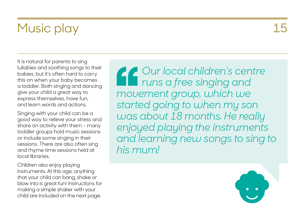## Music play

## **15**

It is natural for parents to sing lullabies and soothing songs to their babies, but it's often hard to carry this on when your baby becomes a toddler. Both singing and dancing give your child a great way to express themselves, have fun, and learn words and actions.

Singing with your child can be a good way to relieve your stress and share an activity with them - many toddler groups hold music sessions or include some singing in their sessions. There are also often sing and rhyme time sessions held at local libraries.

Children also enjoy playing instruments. At this age, anything that your child can bang, shake or blow into is great fun! Instructions for making a simple shaker with your child are included on the next page.

*Our local children's centre runs a free singing and movement group, which we started going to when my son was about 18 months. He really enjoyed playing the instruments and learning new songs to sing to his mum!*

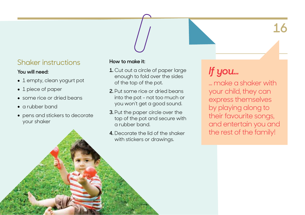#### Shaker instructions

#### **You will need:**

- ⚫ 1 empty, clean yogurt pot
- 1 piece of paper
- ⚫ some rice or dried beans
- ⚫ a rubber band
- ⚫ pens and stickers to decorate your shaker

#### **How to make it:**

- **1.** Cut out a circle of paper large enough to fold over the sides of the top of the pot.
- **2.** Put some rice or dried beans into the pot - not too much or you won't get a good sound.
- **3.** Put the paper circle over the top of the pot and secure with a rubber band.
- **4.** Decorate the lid of the shaker with stickers or drawings.

## *If you…*

... make a shaker with your child, they can express themselves by playing along to their favourite songs, and entertain you and the rest of the family!

**16**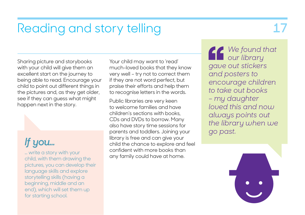## Reading and story telling

## **17**

Sharing picture and storybooks with your child will give them an excellent start on the journey to being able to read. Encourage your child to point out different things in the pictures and, as they get older, see if they can guess what might happen next in the story.

## *If you…*

... write a story with your child, with them drawing the pictures, you can develop their language skills and explore storytelling skills (having a beginning, middle and an end), which will set them up for starting school.

Your child may want to 'read' much-loved books that they know very well – try not to correct them if they are not word perfect, but praise their efforts and help them to recognise letters in the words.

Public libraries are very keen to welcome families and have children's sections with books, CDs and DVDs to borrow. Many also have story time sessions for parents and toddlers. Joining your library is free and can give your child the chance to explore and feel confident with more books than any family could have at home.

*We found that our library gave out stickers and posters to encourage children to take out books – my daughter loved this and now always points out the library when we go past.*

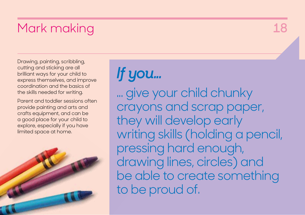## Mark making

**18**

Drawing, painting, scribbling, cutting and sticking are all brilliant ways for your child to express themselves, and improve coordination and the basics of the skills needed for writing.

Parent and toddler sessions often provide painting and arts and crafts equipment, and can be a good place for your child to explore, especially if you have limited space at home.



## *If you...*

... give your child chunky crayons and scrap paper, they will develop early writing skills (holding a pencil, pressing hard enough, drawing lines, circles) and be able to create something to be proud of.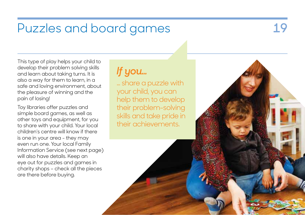## Puzzles and board games

**19**

This type of play helps your child to develop their problem solving skills and learn about taking turns. It is also a way for them to learn, in a safe and loving environment, about the pleasure of winning and the pain of losing!

Toy libraries offer puzzles and simple board games, as well as other toys and equipment, for you to share with your child. Your local children's centre will know if there is one in your area - they may even run one. Your local Family Information Service (see next page) will also have details. Keep an eye out for puzzles and games in charity shops – check all the pieces are there before buying.

#### *If you…*

... share a puzzle with your child, you can help them to develop their problem-solving skills and take pride in their achievements.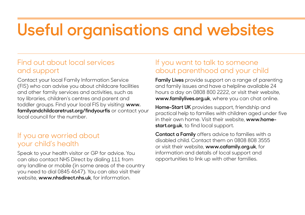## **Useful organisations and websites**

#### Find out about local services and support

Contact your local Family Information Service (FIS) who can advise you about childcare facilities and other family services and activities, such as toy libraries, children's centres and parent and toddler groups. Find your local FIS by visiting: **www. familyandchildcaretrust.org/findyourfis** or contact your local council for the number.

#### If you are worried about your child's health

Speak to your health visitor or GP for advice. You can also contact NHS Direct by dialing 111 from any landline or mobile (in some areas of the country you need to dial 0845 4647). You can also visit their website, **www.nhsdirect.nhs.uk**, for information.

#### If you want to talk to someone about parenthood and your child

**Family Lives** provide support on a range of parenting and family issues and have a helpline available 24 hours a day on 0808 800 2222, or visit their website, **www.familylives.org.uk**, where you can chat online.

**Home-Start UK** provides support, friendship and practical help to families with children aged under five in their own home. Visit their website, **www.homestart.org.uk**, to find local support.

**Contact a Family** offers advice to families with a disabled child. Contact them on 0808 808 3555 or visit their website, **www.cafamily.org.uk**, for information and details of local support and opportunities to link up with other families.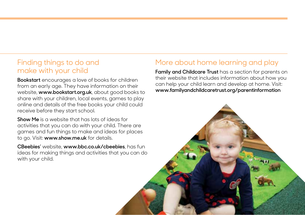#### Finding things to do and make with your child

**Bookstart** encourages a love of books for children from an early age. They have information on their website, **www.bookstart.org.uk**, about good books to share with your children, local events, games to play online and details of the free books your child could receive before they start school.

**Show Me** is a website that has lots of ideas for activities that you can do with your child. There are games and fun things to make and ideas for places to go. Visit: **www.show.me.uk** for details.

**CBeebies'** website, **www.bbc.co.uk/cbeebies**, has fun ideas for making things and activities that you can do with your child.

#### More about home learning and play

**Family and Childcare Trust** has a section for parents on their website that includes information about how you can help your child learn and develop at home. Visit: **www.familyandchildcaretrust.org/parentinformation**